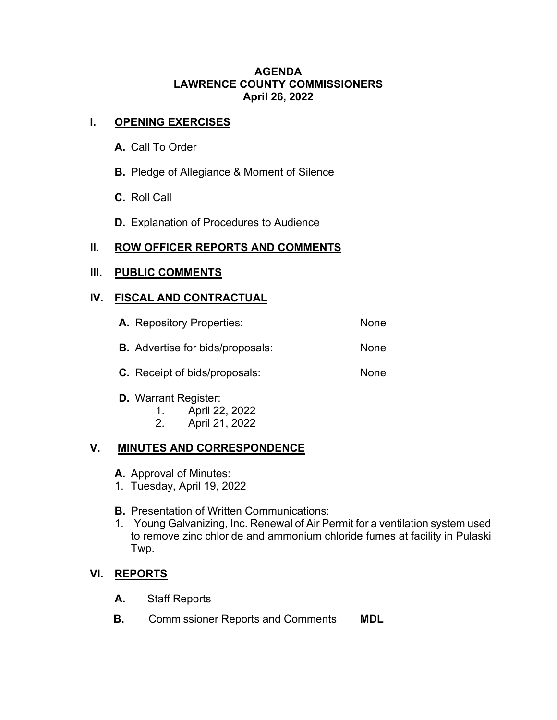### **AGENDA LAWRENCE COUNTY COMMISSIONERS April 26, 2022**

## **I. OPENING EXERCISES**

- **A.** Call To Order
- **B.** Pledge of Allegiance & Moment of Silence
- **C.** Roll Call
- **D.** Explanation of Procedures to Audience

# **II. ROW OFFICER REPORTS AND COMMENTS**

#### **III. PUBLIC COMMENTS**

### **IV. FISCAL AND CONTRACTUAL**

| <b>A.</b> Repository Properties:        | None |
|-----------------------------------------|------|
| <b>B.</b> Advertise for bids/proposals: | None |
| <b>C.</b> Receipt of bids/proposals:    | None |

- **D.** Warrant Register:
	- 1. April 22, 2022
	- 2. April 21, 2022

# **V. MINUTES AND CORRESPONDENCE**

- **A.** Approval of Minutes:
- 1. Tuesday, April 19, 2022
- **B.** Presentation of Written Communications:
- 1. Young Galvanizing, Inc. Renewal of Air Permit for a ventilation system used to remove zinc chloride and ammonium chloride fumes at facility in Pulaski Twp.

# **VI. REPORTS**

- **A.** Staff Reports
- **B.** Commissioner Reports and Comments **MDL**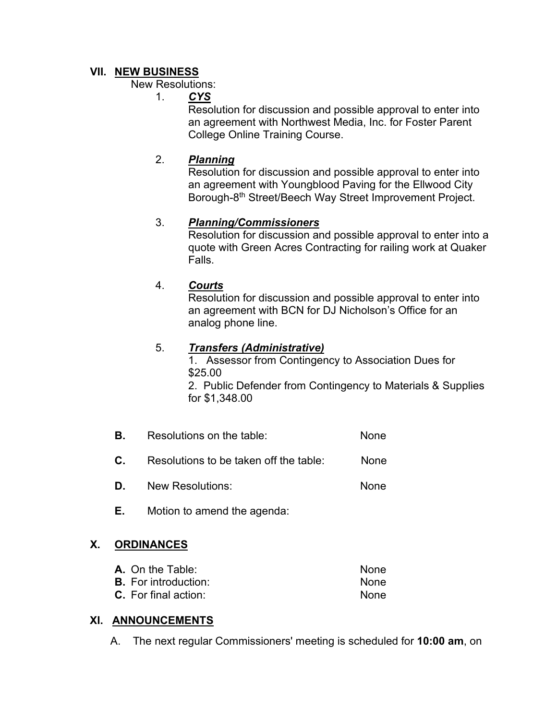## **VII. NEW BUSINESS**

New Resolutions:

1. *CYS*

Resolution for discussion and possible approval to enter into an agreement with Northwest Media, Inc. for Foster Parent College Online Training Course.

# 2. *Planning*

Resolution for discussion and possible approval to enter into an agreement with Youngblood Paving for the Ellwood City Borough-8th Street/Beech Way Street Improvement Project.

# 3. *Planning/Commissioners*

Resolution for discussion and possible approval to enter into a quote with Green Acres Contracting for railing work at Quaker Falls.

# 4. *Courts*

Resolution for discussion and possible approval to enter into an agreement with BCN for DJ Nicholson's Office for an analog phone line.

### 5. *Transfers (Administrative)*

1. Assessor from Contingency to Association Dues for \$25.00

2. Public Defender from Contingency to Materials & Supplies for \$1,348.00

**B.** Resolutions on the table: None

**C.** Resolutions to be taken off the table: None

- **D.** New Resolutions: None
- **E.** Motion to amend the agenda:

# **X. ORDINANCES**

| <b>A.</b> On the Table:     | <b>None</b> |
|-----------------------------|-------------|
| <b>B.</b> For introduction: | <b>None</b> |
| <b>C.</b> For final action: | <b>None</b> |

#### **XI. ANNOUNCEMENTS**

A. The next regular Commissioners' meeting is scheduled for **10:00 am**, on